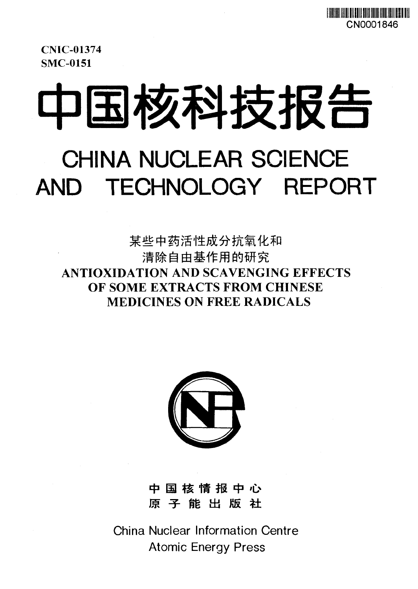CNIC-01374 SMC-0151

# 中国核科技报告 CHINA NUCLEAR SCIENCE AND TECHNOLOGY REPORT

某些中药活性成分抗氧化和 清除自由基作用的研究 **ANTIOXIDATION AND SCAVENGING EFFECTS OF SOME EXTRACTS FROM CHINESE MEDICINES ON FREE RADICALS**



中国核情报中心 原 子 能 出 版 社

China Nuclear Information Centre Atomic Energy Press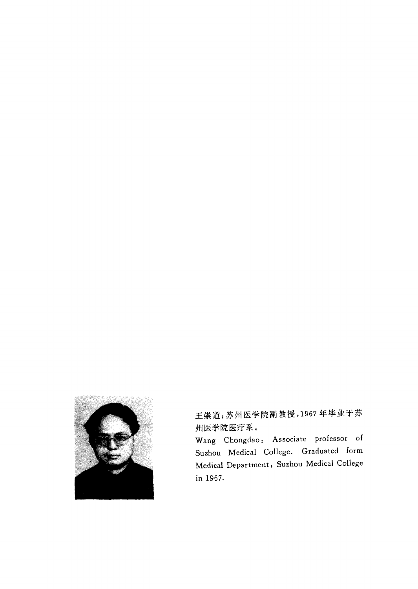

王崇道:苏州医学院副教授,1967年毕业于苏 州医学院医疗系。

Wang Chongdao: Associate professor of Suzhou Medical College. Graduated form Medical Department, Suzhou Medical College in 1967.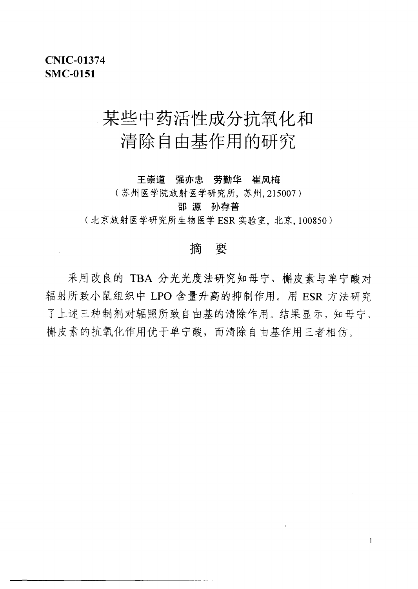## 某些中药活性成分抗氧化和 清除自由基作用的研究

王崇道 强亦忠 劳勤华 崔风梅

(苏州医学院放射医学研究所, 苏州, 215007)

邵 源 孙存普

(北京放射医学研究所生物医学 ESR 实验室, 北京, 100850)

#### 樀 要

采用改良的 TBA 分光光度法研究知母宁、槲皮素与单宁酸对 辐射所致小鼠组织中 LPO 含量升高的抑制作用。用 ESR 方法研究 了上述三种制剂对辐照所致自由基的清除作用。结果显示,知母宁、 槲皮素的抗氧化作用优于单宁酸,而清除自由基作用三者相仿。

 $\mathbf{1}$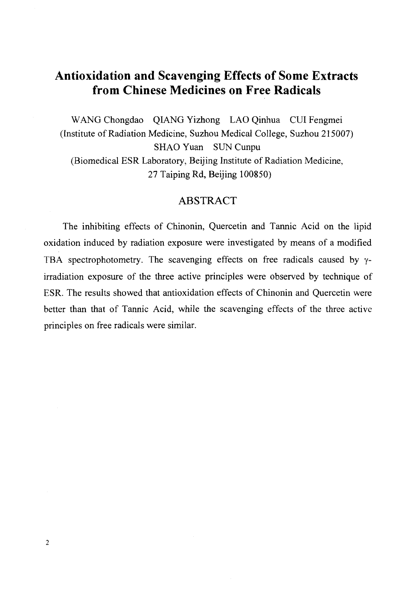## **Antioxidation and Scavenging Effects of Some Extracts from Chinese Medicines on Free Radicals**

WANG Chongdao QIANG Yizhong LAO Qinhua CUI Fengmei (Institute of Radiation Medicine, Suzhou Medical College, Suzhou 215007) SHAO Yuan SUN Cunpu (Biomedical ESR Laboratory, Beijing Institute of Radiation Medicine, 27 Taiping Rd, Beijing 100850)

#### ABSTRACT

The inhibiting effects of Chinonin, Quercetin and Tannic Acid on the lipid oxidation induced by radiation exposure were investigated by means of a modified TBA spectrophotometry. The scavenging effects on free radicals caused by *y*irradiation exposure of the three active principles were observed by technique of ESR. The results showed that antioxidation effects of Chinonin and Quercetin were better than that of Tannic Acid, while the scavenging effects of the three active principles on free radicals were similar.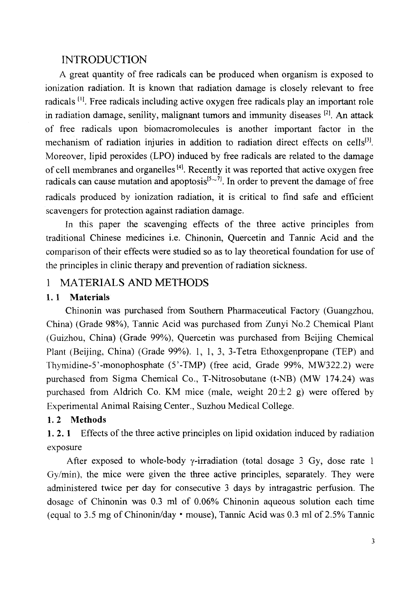#### INTRODUCTION

A great quantity of free radicals can be produced when organism is exposed to ionization radiation. It is known that radiation damage is closely relevant to free radicals<sup>[1]</sup>. Free radicals including active oxygen free radicals play an important role in radiation damage, senility, malignant tumors and immunity diseases  *[2] .* An attack of free radicals upon biomacromolecules is another important factor in the mechanism of radiation injuries in addition to radiation direct effects on cells<sup>[3]</sup>. Moreover, lipid peroxides (LPO) induced by free radicals are related to the damage of cell membranes and organelles<sup>[4]</sup>. Recently it was reported that active oxygen free radicals can cause mutation and apoptosis<sup>[5 $\sim$ 7]</sup>. In order to prevent the damage of free radicals produced by ionization radiation, it is critical to find safe and efficient scavengers for protection against radiation damage.

In this paper the scavenging effects of the three active principles from traditional Chinese medicines i.e. Chinonin, Quercetin and Tannic Acid and the comparison of their effects were studied so as to lay theoretical foundation for use of the principles in clinic therapy and prevention of radiation sickness.

### 1 MATERIALS AND METHODS

#### **1. 1 Materials**

Chinonin was purchased from Southern Pharmaceutical Factory (Guangzhou, China) (Grade 98%), Tannic Acid was purchased from Zunyi No.2 Chemical Plant (Guizhou, China) (Grade 99%), Quercetin was purchased from Beijing Chemical Plant (Beijing, China) (Grade 99%). 1, 1, 3, 3-Tetra Ethoxgenpropane (TEP) and Thymidine-5'-monophosphate (5'-TMP) (free acid, Grade 99%, MW322.2) were purchased from Sigma Chemical Co., T-Nitrosobutane (t-NB) (MW 174.24) was purchased from Aldrich Co. KM mice (male, weight  $20 \pm 2$  g) were offered by Experimental Animal Raising Center., Suzhou Medical College.

#### **1.2 Methods**

**1. 2. 1** Effects of the three active principles on lipid oxidation induced by radiation exposure

After exposed to whole-body  $\gamma$ -irradiation (total dosage 3 Gy, dose rate 1 Gy/min), the mice were given the three active principles, separately. They were administered twice per day for consecutive 3 days by intragastric perfusion. The dosage of Chinonin was 0.3 ml of 0.06% Chinonin aqueous solution each time (equal to 3.5 mg of Chinonin/day • mouse), Tannic Acid was 0.3 ml of 2.5% Tannic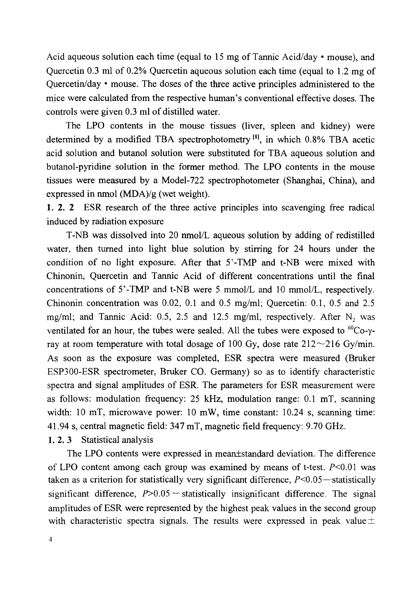Acid aqueous solution each time (equal to 15 mg of Tannic Acid/day • mouse), and Quercetin 0.3 ml of 0.2% Quercetin aqueous solution each time (equal to 1.2 mg of Quercetin/day • mouse. The doses of the three active principles administered to the mice were calculated from the respective human's conventional effective doses. The controls were given 0.3 ml of distilled water.

The LPO contents in the mouse tissues (liver, spleen and kidney) were determined by a modified TBA spectrophotometry<sup>[8]</sup>, in which 0.8% TBA acetic acid solution and butanol solution were substituted for TBA aqueous solution and butanol-pyridine solution in the former method. The LPO contents in the mouse tissues were measured by a Model-722 spectrophotometer (Shanghai, China), and expressed in nmol (MDA)/g (wet weight).

1. 2. 2 ESR research of the three active principles into scavenging free radical induced by radiation exposure

T-NB was dissolved into 20 nmol/L aqueous solution by adding of redistilled water, then turned into light blue solution by stirring for 24 hours under the condition of no light exposure. After that 5'-TMP and t-NB were mixed with Chinonin, Quercetin and Tannic Acid of different concentrations until the final concentrations of 5'-TMP and t-NB were 5 mmol/L and 10 mmol/L, respectively. Chinonin concentration was 0.02, 0.1 and 0.5 mg/ml; Quercetin: 0.1, 0.5 and 2.5 mg/ml; and Tannic Acid: 0.5, 2.5 and 12.5 mg/ml, respectively. After  $N_2$  was ventilated for an hour, the tubes were sealed. All the tubes were exposed to  ${}^{60}Co-\gamma$ ray at room temperature with total dosage of 100 Gy, dose rate  $212 \sim 216$  Gy/min. As soon as the exposure was completed, ESR spectra were measured (Bruker ESP300-ESR spectrometer, Bruker CO. Germany) so as to identify characteristic spectra and signal amplitudes of ESR. The parameters for ESR measurement were as follows: modulation frequency: 25 kHz, modulation range: 0.1 mT, scanning width: 10 mT, microwave power: 10 mW, time constant: 10.24 s, scanning time: 41.94 s, central magnetic field: 347 mT, magnetic field frequency: 9.70 GHz.

1. 2. 3 Statistical analysis

The LPO contents were expressed in mean±standard deviation. The difference of LPO content among each group was examined by means of t-test.  $P<0.01$  was taken as a criterion for statistically very significant difference,  $P<0.05$ —statistically significant difference,  $P > 0.05$  -statistically insignificant difference. The signal amplitudes of ESR were represented by the highest peak values in the second group with characteristic spectra signals. The results were expressed in peak value  $\pm$ 

 $\overline{4}$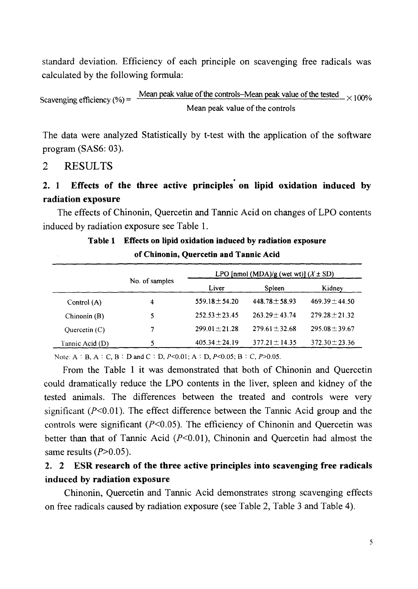standard deviation. Efficiency of each principle on scavenging free radicals was calculated by the following formula:

Scavenging efficiency (%) =  $\frac{Mean}{}$  peak value of the controls–Mean peak value of the tested  $\frac{M}{2}$   $\times$  100% Mean peak value of the controls

The data were analyzed Statistically by t-test with the application of the software program (SAS6: 03).

#### 2 RESULTS

### **2. 1 Effects of the three active principles on lipid oxidation induced by radiation exposure**

The effects of Chinonin, Quercetin and Tannic Acid on changes of LPO contents induced by radiation exposure see Table 1.

| of Chinonin, Quercetin and Tannic Acid |                |                                          |                    |                    |  |  |
|----------------------------------------|----------------|------------------------------------------|--------------------|--------------------|--|--|
|                                        | No. of samples | LPO [nmol (MDA)/g (wet wt)] $(X \pm SD)$ |                    |                    |  |  |
|                                        |                | Liver                                    | Spleen             | Kidney             |  |  |
| Control (A)                            | 4              | $559.18 \pm 54.20$                       | $448.78 + 58.93$   | $469.39 \pm 44.50$ |  |  |
| Chinonin $(B)$                         | 5              | $252.53 \pm 23.45$                       | $263.29 \pm 43.74$ | $279.28 \pm 21.32$ |  |  |
| Ouercetin $(C)$                        | 7              | $299.01 + 21.28$                         | $279.61 + 32.68$   | $295.08 \pm 39.67$ |  |  |
| Tannic Acid (D)                        | 5              | $405.34 \pm 24.19$                       | $377.21 \pm 14.35$ | $372.30 \pm 23.36$ |  |  |

**Table 1 Effects on lipid oxidation induced by radiation exposure**

Note: A : B, A : C, B : D and C : D, *P<0.0l; A •* D, *P<0.05;* B : C, *P>0.05.*

From the Table 1 it was demonstrated that both of Chinonin and Quercetin could dramatically reduce the LPO contents in the liver, spleen and kidney of the tested animals. The differences between the treated and controls were very significant ( $P<0.01$ ). The effect difference between the Tannic Acid group and the controls were significant ( $P<0.05$ ). The efficiency of Chinonin and Quercetin was better than that of Tannic Acid  $(P<0.01)$ , Chinonin and Quercetin had almost the same results  $(P>0.05)$ .

#### **2. 2 ESR research of the three active principles into scavenging free radicals induced by radiation exposure**

Chinonin, Quercetin and Tannic Acid demonstrates strong scavenging effects on free radicals caused by radiation exposure (see Table 2, Table 3 and Table 4).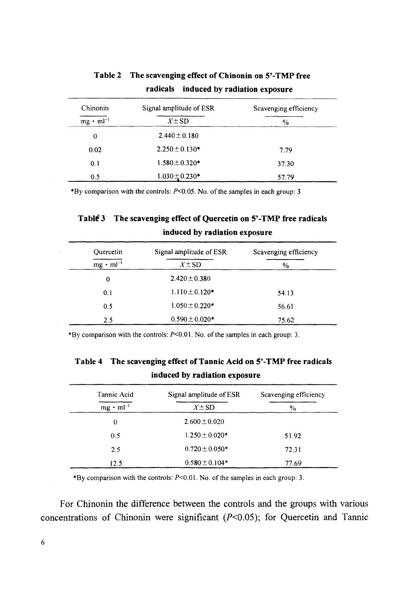| Chinonin<br>Signal amplitude of ESR |                                                                                                                           | Scavenging efficiency |  |
|-------------------------------------|---------------------------------------------------------------------------------------------------------------------------|-----------------------|--|
| $mg \cdot ml^{-1}$                  | $X \pm SD$<br>Hot History (2001) 2004 12:00:00 12:00 12:00:00 12:00 12:00 12:00 12:00 12:00 12:00 12:00 12:00 12:00 12:00 | $\frac{1}{2}$         |  |
| 0                                   | $2.440 \pm 0.180$                                                                                                         |                       |  |
| 0.02                                | $2.250 \pm 0.130$ *                                                                                                       | 7.79                  |  |
| 0.1                                 | $1.580 \pm 0.320$ *                                                                                                       | 37.30                 |  |
| 0.5                                 | $1.030 \pm 0.230$ *                                                                                                       | 57.79                 |  |

**Table 2 The scavenging effect of Chinonin on 5'-TMP free radicals induced by radiation exposure**

\*By comparison with the controls:  $P<0.05$ . No. of the samples in each group: 3

#### Tabl<sup>#</sup> 3 The scavenging effect of Quercetin on 5'-TMP free radicals **induced by radiation exposure**

| Quercetin          | Signal amplitude of ESR | Scavenging efficiency |
|--------------------|-------------------------|-----------------------|
| $mg \cdot ml^{-1}$ | $X \pm SD$              | $\%$                  |
| $\Omega$           | $2.420 \pm 0.380$       |                       |
| 0.1                | $1.110 \pm 0.120$ *     | 54.13                 |
| 0.5                | $1.050 \pm 0.220$ *     | 56.61                 |
| 2.5                | $0.590 \pm 0.020*$      | 75.62                 |

\*By comparison with the controls:  $P<0.01$ . No. of the samples in each group: 3.

**Table 4 The scavenging effect of Tannic Acid on 5'-TMP free radicals induced by radiation exposure**

| Tannic Acid        | Signal amplitude of ESR | Scavenging efficiency |  |
|--------------------|-------------------------|-----------------------|--|
| $mg \cdot ml^{-1}$ | $X \pm SD$              | $\%$                  |  |
| 0                  | $2.600 \pm 0.020$       |                       |  |
| 0.5                | $1.250 \pm 0.020*$      | 51.92                 |  |
| 2.5                | $0.720 \pm 0.050*$      | 72.31                 |  |
| 12.5               | $0.580 \pm 0.104*$      | 77.69                 |  |

\*By comparison with the controls: *P<O.0l.* No. of the samples in each group: 3.

For Chinonin the difference between the controls and the groups with various concentrations of Chinonin were significant  $(P<0.05)$ ; for Quercetin and Tannic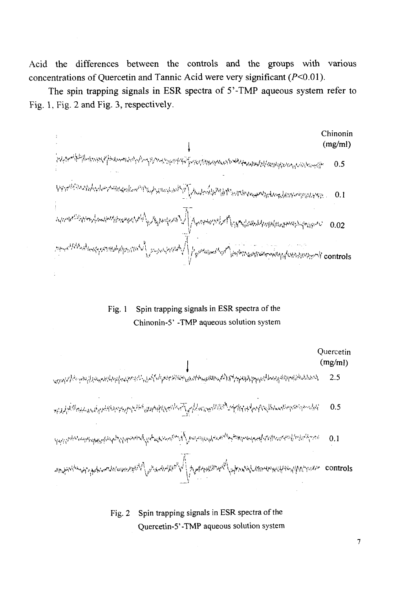Acid the differences between the controls and the groups with various concentrations of Ouercetin and Tannic Acid were very significant  $(P<0.01)$ .

The spin trapping signals in ESR spectra of 5'-TMP aqueous system refer to Fig. 1, Fig. 2 and Fig. 3, respectively.

Chinonin  $(mg/ml)$ ۠ڛڸ؞<del>ۄ؞ڂڵڮڐٳڸ</del>؞ڸ؈ۑڝؾٷڰڂۺۼؠڛڡۑ؊ٵؠ؇ڛٳ؉؊ڿڮڛۑۊڗ؋ٷػۿٵۜؠڂڗۊڋڗٚڹٳؠؠڗؠػۯ؞ۄؿٵ؊ڴڰڔ<mark>ۻڔ؞ڔڗڛۯ</mark>ؾڸڵ۩ۄؾڶڗۄڗ؞ۮڝ؞ڔ؞ۮؽؽڂ؞ڛڗٳڮ<br>ؘ  $0.5$ **.• \* • ^>/.&.>.,,.A,H -,,/! .:'.N^^^^;t^ « . 0.1 ^ ^ 0** *Q2*  $\left\{ \left\langle \left\langle \psi^{(1),\alpha_1,\alpha_2,\beta_1} \right\rangle \right\rangle \right\}$  , which is a via the value of  $\psi^{(1),\beta_1,\beta_2}$  which is controls 1/

Fig. 1 Spin trapping signals in ESR spectra of the Chinonin-5' -TMP aqueous solution system



Fig. 2 Spin trapping signals in ESR spectra of the Quercetin-5'-TMP aqueous solution system

 $\overline{7}$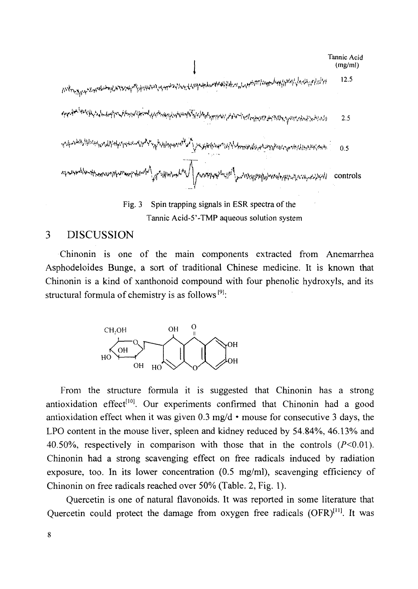|                                                                                                                                | Tannic Acid<br>(mg/ml) |
|--------------------------------------------------------------------------------------------------------------------------------|------------------------|
|                                                                                                                                | 12.5                   |
| ٩ <mark>٩٣٩٠ ٩٩٩٩ ٩٩</mark> ٩٩٠ مولسلينې د ١٩٩٢م ودايل ١٩٩٩م ودايل برونو ١٩٩٩م و ١٩٩٧م و ١٩٩٧م و ١٩٩١م و ١٩٩٧م و ١٩٩٧م و ١٩٩٧م | 2.5                    |
|                                                                                                                                | 0.5                    |
|                                                                                                                                | controls               |
| Spin tranning signals in ESR spectra of the<br>Fig.                                                                            |                        |

Spin trapping signals in ESR spectra of the Tannic Acid-5'-TMP aqueous solution system

#### 3 DISCUSSION

Chinonin is one of the main components extracted from Anemarrhea Asphodeloides Bunge, a sort of traditional Chinese medicine. It is known that Chinonin is a kind of xanthonoid compound with four phenolic hydroxyls, and its structural formula of chemistry is as follows<sup>[9]</sup>:



From the structure formula it is suggested that Chinonin has a strong antioxidation effect<sup>[10]</sup>. Our experiments confirmed that Chinonin had a good antioxidation effect when it was given 0.3 mg/d • mouse for consecutive 3 days, the LPO content in the mouse liver, spleen and kidney reduced by 54.84%, 46.13% and 40.50%, respectively in comparison with those that in the controls  $(P<0.01)$ . Chinonin had a strong scavenging effect on free radicals induced by radiation exposure, too. In its lower concentration  $(0.5 \text{ mg/ml})$ , scavenging efficiency of Chinonin on free radicals reached over 50% (Table. 2, Fig. 1).

Quercetin is one of natural flavonoids. It was reported in some literature that Quercetin could protect the damage from oxygen free radicals (OFR)<sup>[11]</sup>. It was

8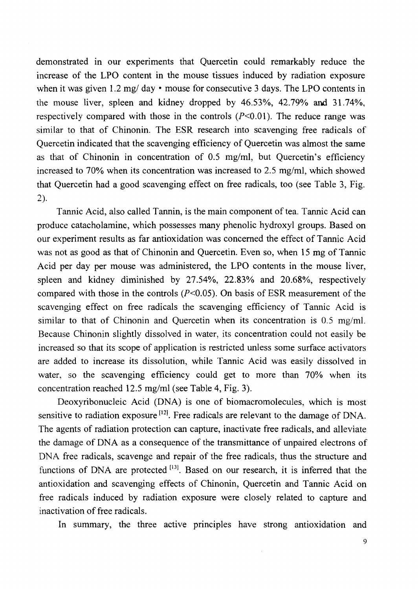demonstrated in our experiments that Quercetin could remarkably reduce the increase of the LPO content in the mouse tissues induced by radiation exposure when it was given 1.2 mg/ day • mouse for consecutive 3 days. The LPO contents in the mouse liver, spleen and kidney dropped by 46.53%, 42.79% and 31.74%, respectively compared with those in the controls  $(P<0.01)$ . The reduce range was similar to that of Chinonin. The ESR research into scavenging free radicals of Quercetin indicated that the scavenging efficiency of Quercetin was almost the same as that of Chinonin in concentration of 0.5 mg/ml, but Quercetin's efficiency increased to 70% when its concentration was increased to 2.5 mg/ml, which showed that Quercetin had a good scavenging effect on free radicals, too (see Table 3, Fig. 2).

Tannic Acid, also called Tannin, is the main component of tea. Tannic Acid can produce catacholamine, which possesses many phenolic hydroxyl groups. Based on our experiment results as far antioxidation was concerned the effect of Tannic Acid was not as good as that of Chinonin and Quercetin. Even so, when 15 mg of Tannic Acid per day per mouse was administered, the LPO contents in the mouse liver, spleen and kidney diminished by 27.54%, 22.83% and 20.68%, respectively compared with those in the controls  $(P<0.05)$ . On basis of ESR measurement of the scavenging effect on free radicals the scavenging efficiency of Tannic Acid is similar to that of Chinonin and Quercetin when its concentration is 0.5 mg/ml. Because Chinonin slightly dissolved in water, its concentration could not easily be increased so that its scope of application is restricted unless some surface activators are added to increase its dissolution, while Tannic Acid was easily dissolved in water, so the scavenging efficiency could get to more than 70% when its concentration reached 12.5 mg/ml (see Table 4, Fig. 3).

Deoxyribonucleic Acid (DNA) is one of biomacromolecules, which is most sensitive to radiation exposure<sup>[12]</sup>. Free radicals are relevant to the damage of DNA. The agents of radiation protection can capture, inactivate free radicals, and alleviate the damage of DNA as a consequence of the transmittance of unpaired electrons of DNA free radicals, scavenge and repair of the free radicals, thus the structure and functions of DNA are protected <sup>[13]</sup>. Based on our research, it is inferred that the antioxidation and scavenging effects of Chinonin, Quercetin and Tannic Acid on free radicals induced by radiation exposure were closely related to capture and inactivation of free radicals.

In summary, the three active principles have strong antioxidation and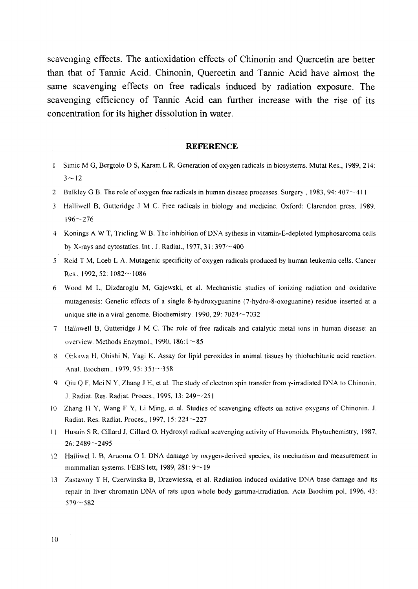scavenging effects. The antioxidation effects of Chinonin and Quercetin are better than that of Tannic Acid. Chinonin, Quercetin and Tannic Acid have almost the same scavenging effects on free radicals induced by radiation exposure. The scavenging efficiency of Tannic Acid can further increase with the rise of its concentration for its higher dissolution in water.

#### **REFERENCE**

- 1 Simic M G, Bergtolo D S, Karam L R. Generation of oxygen radicals in biosystems. Mutat Res., 1989, 214:  $3 - 12$
- 2 Bulkley G B. The role of oxygen free radicals in human disease processes. Surgery, 1983, 94:  $407 \sim 411$
- 3 Halliwell B, Gutteridge J M C. Free radicals in biology and medicine. Oxford: Clarendon press, 1989. 196—276
- 4 Konings AWT, Trieling W B. The inhibition of DNA sythesis in vitamin-E-depleted lymphosarcoma cells by X-rays and cytostatics. Int. J. Radiat.,  $1977$ ,  $31:397 \sim 400$
- 5 Reid T M, Loeb L A. Mutagenic specificity of oxygen radicals produced by human leukemia cells. Cancer Res., 1992, 52:  $1082 \sim 1086$
- 6 Wood M L, Dizdaroglu M, Gajewski, et al. Mechanistic studies of ionizing radiation and oxidative mutagenesis: Genetic effects of a single 8-hydroxyguanine (7-hydro-8-oxoguanine) residue inserted at a unique site in a viral genome. Biochemistry. 1990, 29:  $7024 \sim 7032$
- 7 Halliwell B, Gutteridge J M C. The role of free radicals and catalytic metal ions in human disease: an overview. Methods Enzymol., 1990, 186:1—85
- 8 Ohkawa H, Ohishi N, Yagi K. Assay for lipid peroxides in animal tissues by thiobarbituric acid reaction. Anal. Biochem., 1979, 95: 351 ~ 358
- 9 Qiu Q F, Mei N Y, Zhang J H, et al. The study of electron spin transfer from  $\gamma$ -irradiated DNA to Chinonin. J. Radiat. Res. Radiat. Proces.. 1995, 13: 249—251
- 10 Zhang H Y, Wang F Y, Li Ming, et al. Studies of scavenging effects on active oxygens of Chinonin. J. Radiat. Res. Radiat. Proces., 1997, 15: 224—227
- 11 Husain S R, Cillard J, Cillard O. Hydroxyl radical scavenging activity of Havonoids. Phytochemistry, 1987, 26: 2489-2495
- 12 Halliwel L B, Aruoma O I. DNA damage by oxygen-derived species, its mechanism and measurement in mammalian systems. FEBS lett, 1989, 281: 9—19
- 13 Zastawny T H, Czerwinska B, Drzewieska, et al. Radiation induced oxidative DNA base damage and its repair in liver chromatin DNA of rats upon whole body gamma-irradiation. Acta Biochim pol, 1996, 43: 579 — 582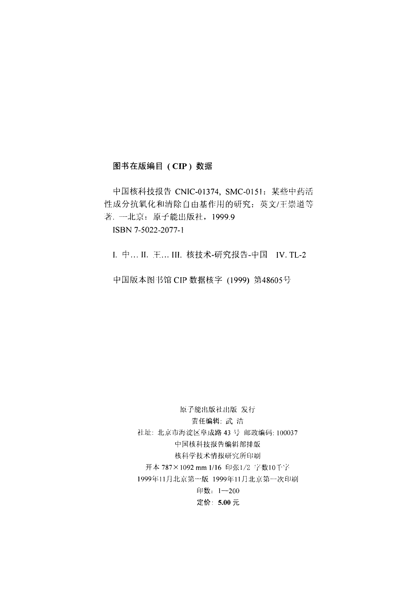#### 图书在版编目 (CIP) 数据

中国核科技报告 CNIC-01374, SMC-0151: 某些中药活 性成分抗氧化和清除自由基作用的研究: 英文/王崇道等 著. 一北京: 原子能出版社, 1999.9

ISBN 7-5022-2077-1

I. 中... II. 王... III. 核技术-研究报告-中国 IV. TL-2

中国版本图书馆 CIP 数据核字 (1999) 第48605号

原子能出版社出版 发行 责任编辑: 武洁 社址: 北京市海淀区阜成路 43号 邮政编码: 100037 中国核科技报告编辑部排版 核科学技术情报研究所印刷 开本 787×1092 mm 1/16 印张1/2 字数10千字 1999年11月北京第一版 1999年11月北京第一次印刷 印数: 1-200 定价: 5.00 元